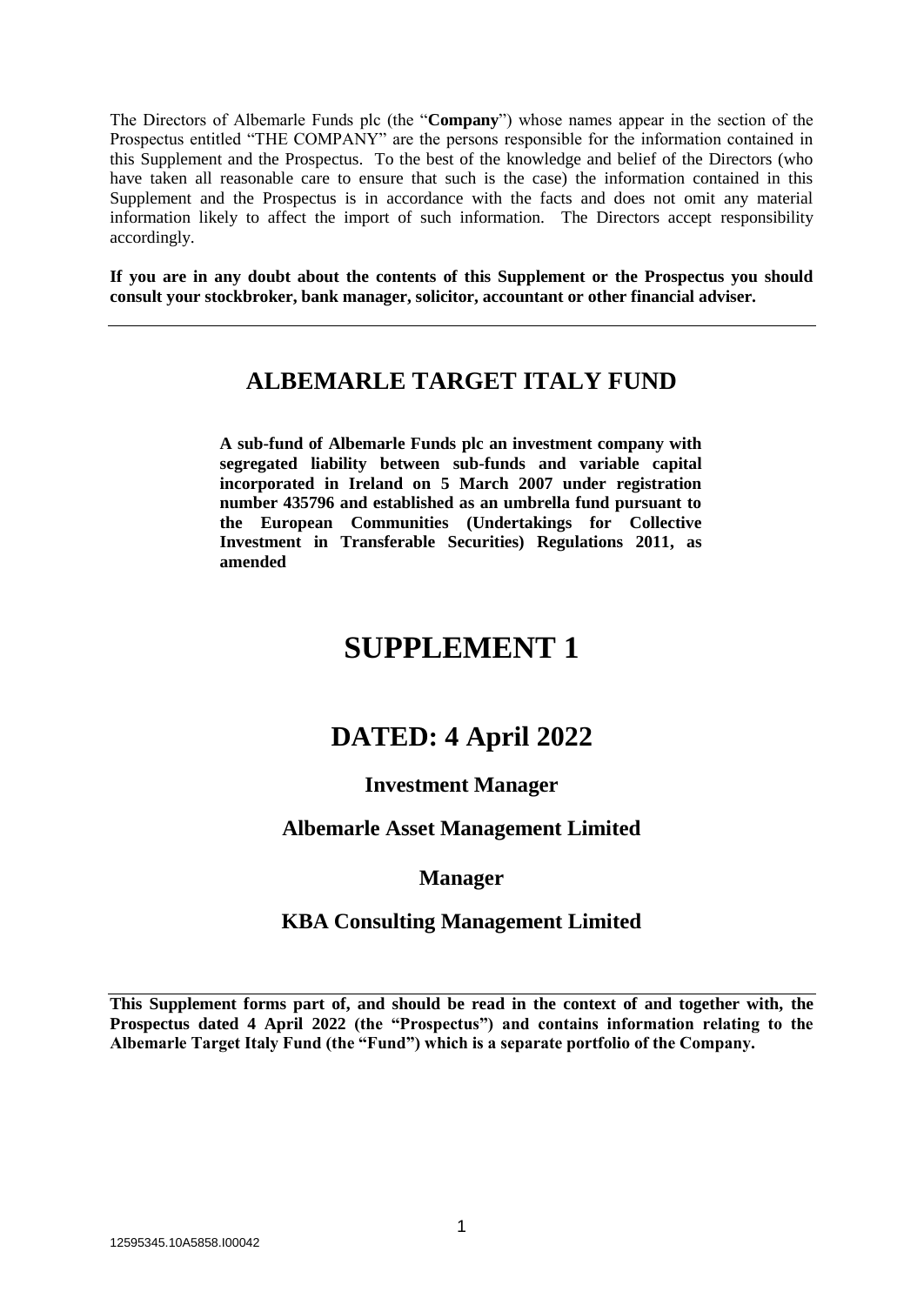The Directors of Albemarle Funds plc (the "**Company**") whose names appear in the section of the Prospectus entitled "THE COMPANY" are the persons responsible for the information contained in this Supplement and the Prospectus. To the best of the knowledge and belief of the Directors (who have taken all reasonable care to ensure that such is the case) the information contained in this Supplement and the Prospectus is in accordance with the facts and does not omit any material information likely to affect the import of such information. The Directors accept responsibility accordingly.

**If you are in any doubt about the contents of this Supplement or the Prospectus you should consult your stockbroker, bank manager, solicitor, accountant or other financial adviser.**

## **ALBEMARLE TARGET ITALY FUND**

**A sub-fund of Albemarle Funds plc an investment company with segregated liability between sub-funds and variable capital incorporated in Ireland on 5 March 2007 under registration number 435796 and established as an umbrella fund pursuant to the European Communities (Undertakings for Collective Investment in Transferable Securities) Regulations 2011, as amended**

# **SUPPLEMENT 1**

## **DATED: 4 April 2022**

## **Investment Manager**

## **Albemarle Asset Management Limited**

## **Manager**

## **KBA Consulting Management Limited**

**This Supplement forms part of, and should be read in the context of and together with, the Prospectus dated 4 April 2022 (the "Prospectus") and contains information relating to the Albemarle Target Italy Fund (the "Fund") which is a separate portfolio of the Company.**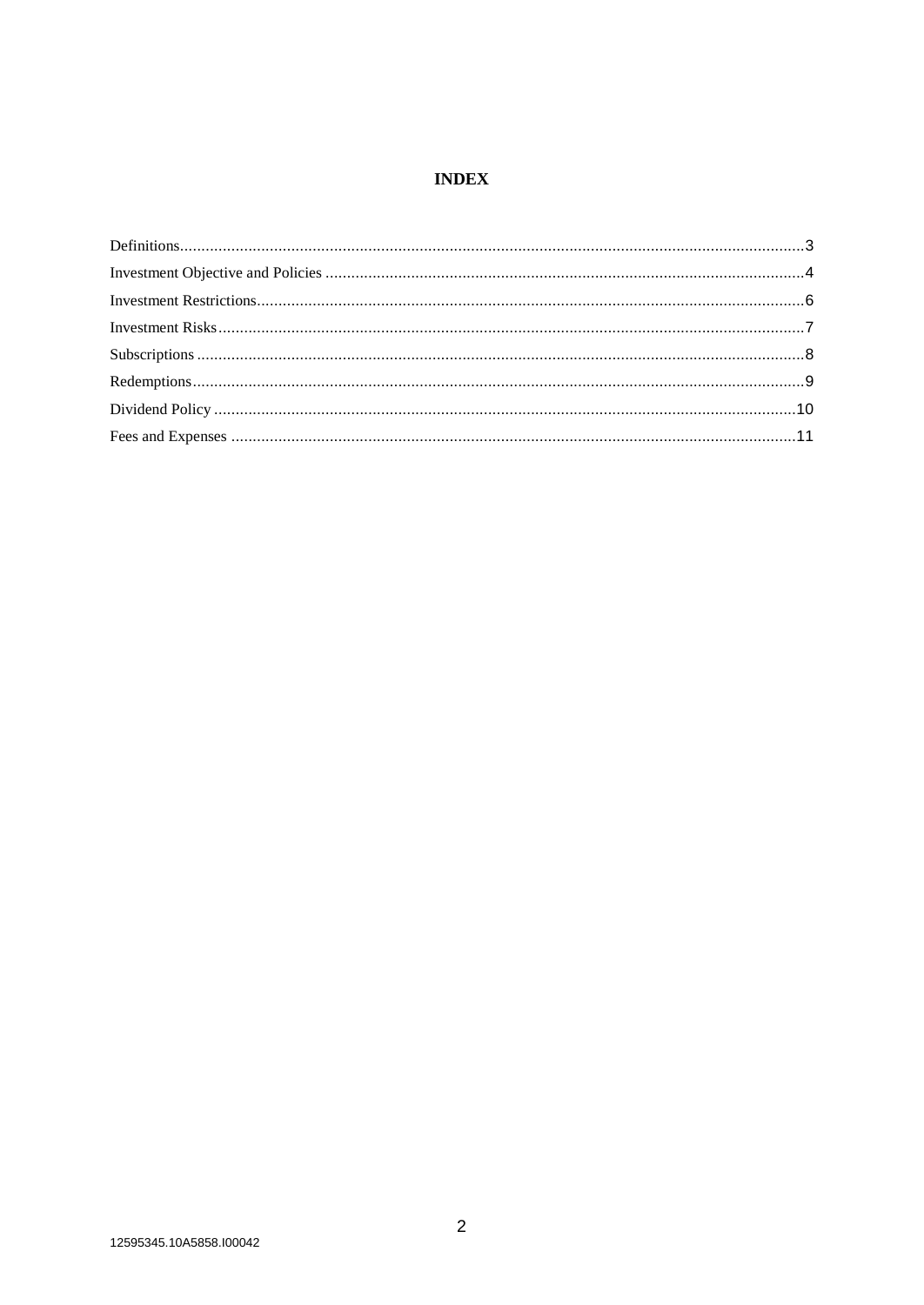## **INDEX**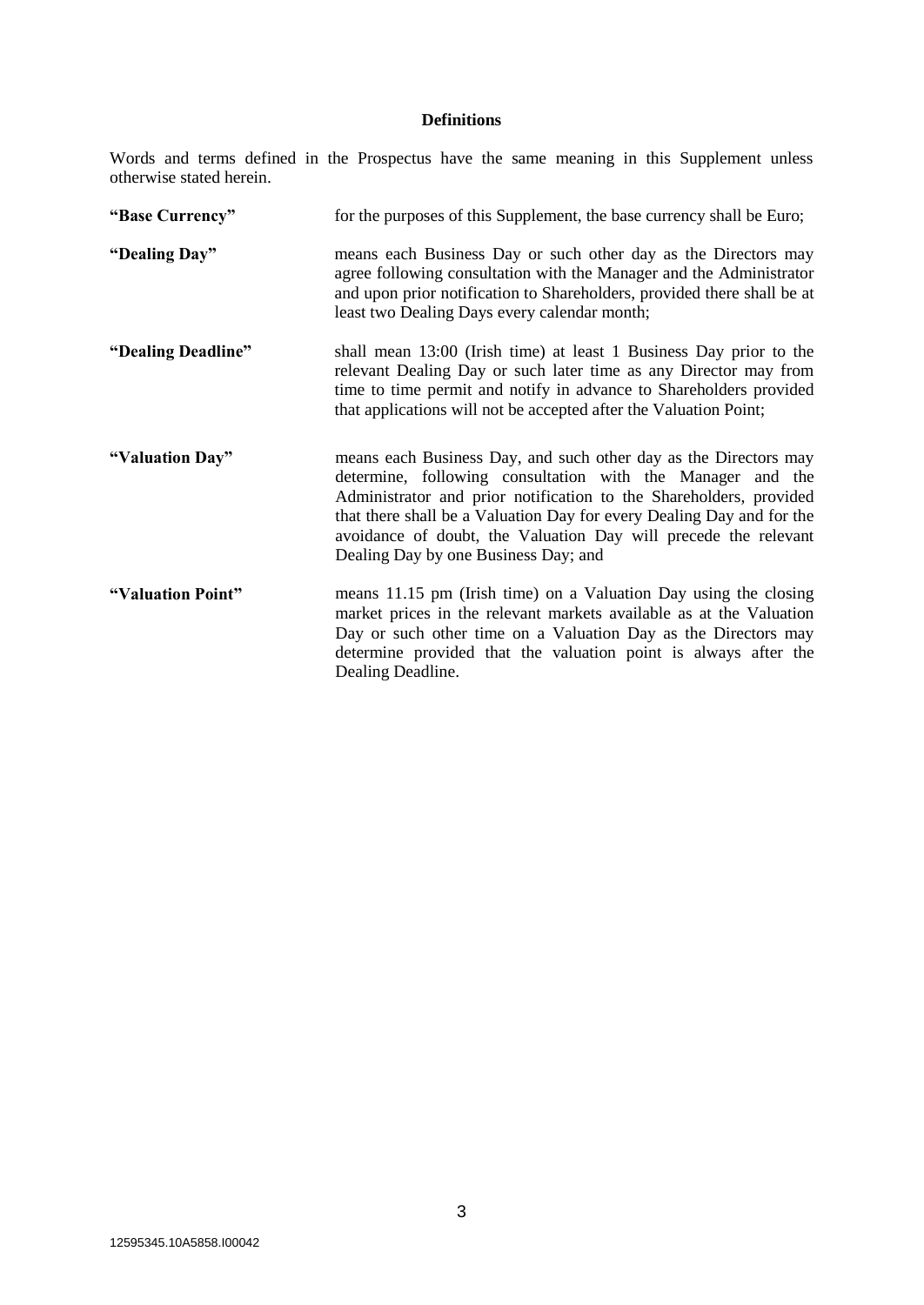### **Definitions**

Words and terms defined in the Prospectus have the same meaning in this Supplement unless otherwise stated herein.

| "Base Currency"    | for the purposes of this Supplement, the base currency shall be Euro;                                                                                                                                                                                                                                                                                                                    |  |  |  |
|--------------------|------------------------------------------------------------------------------------------------------------------------------------------------------------------------------------------------------------------------------------------------------------------------------------------------------------------------------------------------------------------------------------------|--|--|--|
| "Dealing Day"      | means each Business Day or such other day as the Directors may<br>agree following consultation with the Manager and the Administrator<br>and upon prior notification to Shareholders, provided there shall be at<br>least two Dealing Days every calendar month;                                                                                                                         |  |  |  |
| "Dealing Deadline" | shall mean 13:00 (Irish time) at least 1 Business Day prior to the<br>relevant Dealing Day or such later time as any Director may from<br>time to time permit and notify in advance to Shareholders provided<br>that applications will not be accepted after the Valuation Point;                                                                                                        |  |  |  |
| "Valuation Day"    | means each Business Day, and such other day as the Directors may<br>determine, following consultation with the Manager and the<br>Administrator and prior notification to the Shareholders, provided<br>that there shall be a Valuation Day for every Dealing Day and for the<br>avoidance of doubt, the Valuation Day will precede the relevant<br>Dealing Day by one Business Day; and |  |  |  |
| "Valuation Point"  | means 11.15 pm (Irish time) on a Valuation Day using the closing<br>market prices in the relevant markets available as at the Valuation<br>Day or such other time on a Valuation Day as the Directors may<br>determine provided that the valuation point is always after the<br>Dealing Deadline.                                                                                        |  |  |  |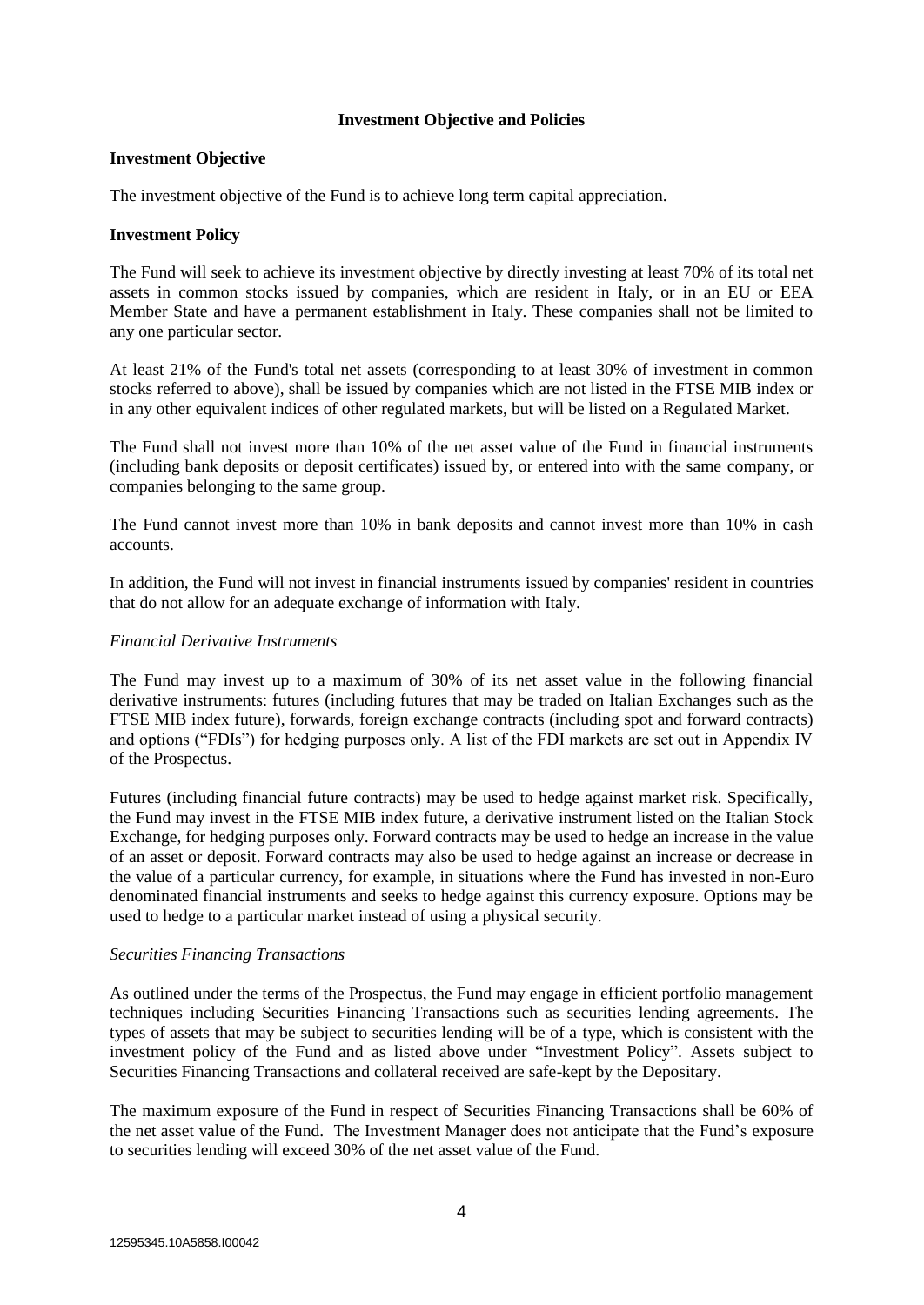#### **Investment Objective and Policies**

#### **Investment Objective**

The investment objective of the Fund is to achieve long term capital appreciation.

#### **Investment Policy**

The Fund will seek to achieve its investment objective by directly investing at least 70% of its total net assets in common stocks issued by companies, which are resident in Italy, or in an EU or EEA Member State and have a permanent establishment in Italy. These companies shall not be limited to any one particular sector.

At least 21% of the Fund's total net assets (corresponding to at least 30% of investment in common stocks referred to above), shall be issued by companies which are not listed in the FTSE MIB index or in any other equivalent indices of other regulated markets, but will be listed on a Regulated Market.

The Fund shall not invest more than 10% of the net asset value of the Fund in financial instruments (including bank deposits or deposit certificates) issued by, or entered into with the same company, or companies belonging to the same group.

The Fund cannot invest more than 10% in bank deposits and cannot invest more than 10% in cash accounts.

In addition, the Fund will not invest in financial instruments issued by companies' resident in countries that do not allow for an adequate exchange of information with Italy.

#### *Financial Derivative Instruments*

The Fund may invest up to a maximum of 30% of its net asset value in the following financial derivative instruments: futures (including futures that may be traded on Italian Exchanges such as the FTSE MIB index future), forwards, foreign exchange contracts (including spot and forward contracts) and options ("FDIs") for hedging purposes only. A list of the FDI markets are set out in Appendix IV of the Prospectus.

Futures (including financial future contracts) may be used to hedge against market risk. Specifically, the Fund may invest in the FTSE MIB index future, a derivative instrument listed on the Italian Stock Exchange, for hedging purposes only. Forward contracts may be used to hedge an increase in the value of an asset or deposit. Forward contracts may also be used to hedge against an increase or decrease in the value of a particular currency, for example, in situations where the Fund has invested in non-Euro denominated financial instruments and seeks to hedge against this currency exposure. Options may be used to hedge to a particular market instead of using a physical security.

#### *Securities Financing Transactions*

As outlined under the terms of the Prospectus, the Fund may engage in efficient portfolio management techniques including Securities Financing Transactions such as securities lending agreements. The types of assets that may be subject to securities lending will be of a type, which is consistent with the investment policy of the Fund and as listed above under "Investment Policy". Assets subject to Securities Financing Transactions and collateral received are safe-kept by the Depositary.

The maximum exposure of the Fund in respect of Securities Financing Transactions shall be 60% of the net asset value of the Fund. The Investment Manager does not anticipate that the Fund's exposure to securities lending will exceed 30% of the net asset value of the Fund.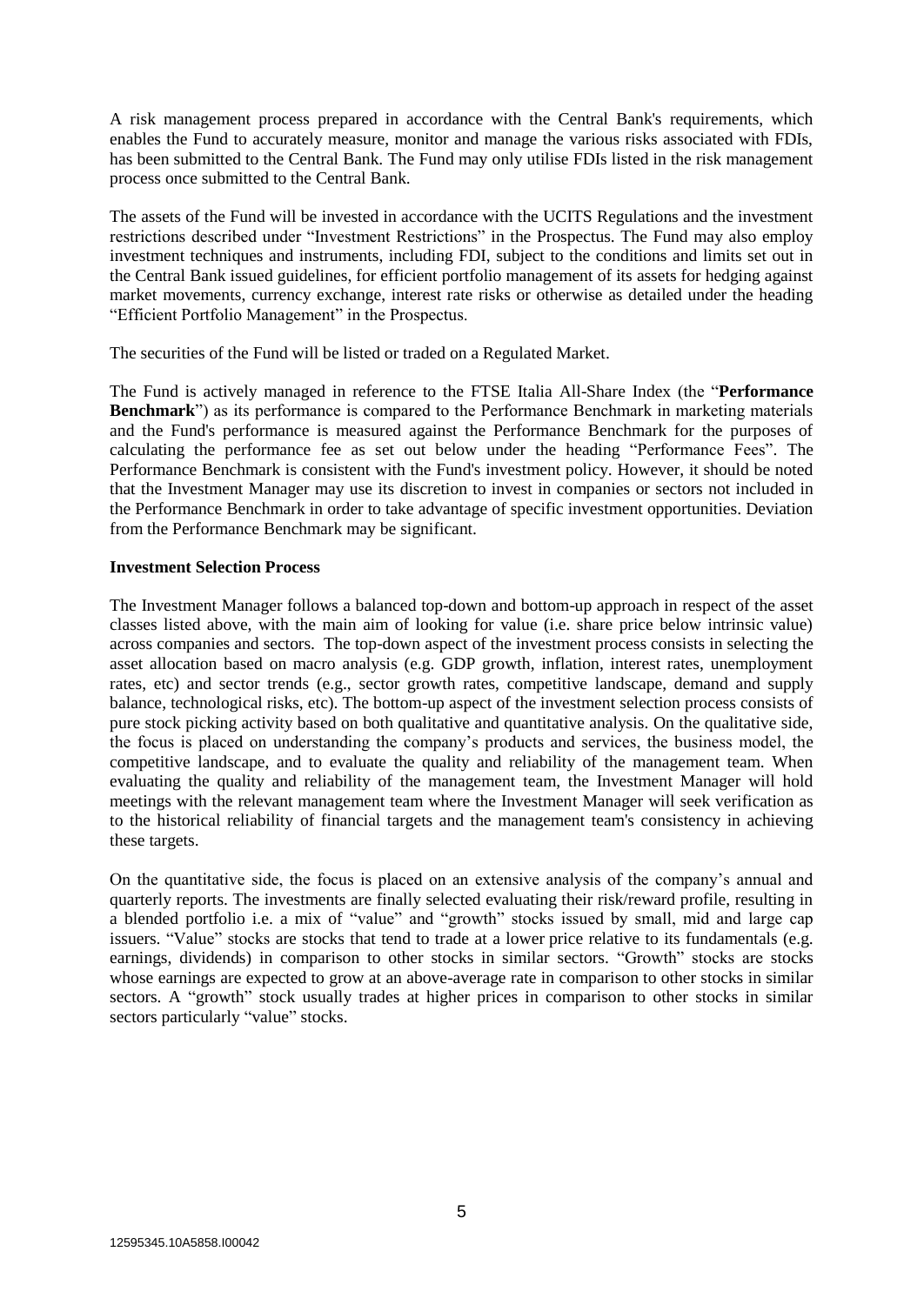A risk management process prepared in accordance with the Central Bank's requirements, which enables the Fund to accurately measure, monitor and manage the various risks associated with FDIs, has been submitted to the Central Bank. The Fund may only utilise FDIs listed in the risk management process once submitted to the Central Bank.

The assets of the Fund will be invested in accordance with the UCITS Regulations and the investment restrictions described under "Investment Restrictions" in the Prospectus. The Fund may also employ investment techniques and instruments, including FDI, subject to the conditions and limits set out in the Central Bank issued guidelines, for efficient portfolio management of its assets for hedging against market movements, currency exchange, interest rate risks or otherwise as detailed under the heading "Efficient Portfolio Management" in the Prospectus.

The securities of the Fund will be listed or traded on a Regulated Market.

The Fund is actively managed in reference to the FTSE Italia All-Share Index (the "**Performance Benchmark**") as its performance is compared to the Performance Benchmark in marketing materials and the Fund's performance is measured against the Performance Benchmark for the purposes of calculating the performance fee as set out below under the heading "Performance Fees". The Performance Benchmark is consistent with the Fund's investment policy. However, it should be noted that the Investment Manager may use its discretion to invest in companies or sectors not included in the Performance Benchmark in order to take advantage of specific investment opportunities. Deviation from the Performance Benchmark may be significant.

#### **Investment Selection Process**

The Investment Manager follows a balanced top-down and bottom-up approach in respect of the asset classes listed above, with the main aim of looking for value (i.e. share price below intrinsic value) across companies and sectors. The top-down aspect of the investment process consists in selecting the asset allocation based on macro analysis (e.g. GDP growth, inflation, interest rates, unemployment rates, etc) and sector trends (e.g., sector growth rates, competitive landscape, demand and supply balance, technological risks, etc). The bottom-up aspect of the investment selection process consists of pure stock picking activity based on both qualitative and quantitative analysis. On the qualitative side, the focus is placed on understanding the company's products and services, the business model, the competitive landscape, and to evaluate the quality and reliability of the management team. When evaluating the quality and reliability of the management team, the Investment Manager will hold meetings with the relevant management team where the Investment Manager will seek verification as to the historical reliability of financial targets and the management team's consistency in achieving these targets.

On the quantitative side, the focus is placed on an extensive analysis of the company's annual and quarterly reports. The investments are finally selected evaluating their risk/reward profile, resulting in a blended portfolio i.e. a mix of "value" and "growth" stocks issued by small, mid and large cap issuers. "Value" stocks are stocks that tend to trade at a lower price relative to its fundamentals (e.g. earnings, dividends) in comparison to other stocks in similar sectors. "Growth" stocks are stocks whose earnings are expected to grow at an above-average rate in comparison to other stocks in similar sectors. A "growth" stock usually trades at higher prices in comparison to other stocks in similar sectors particularly "value" stocks.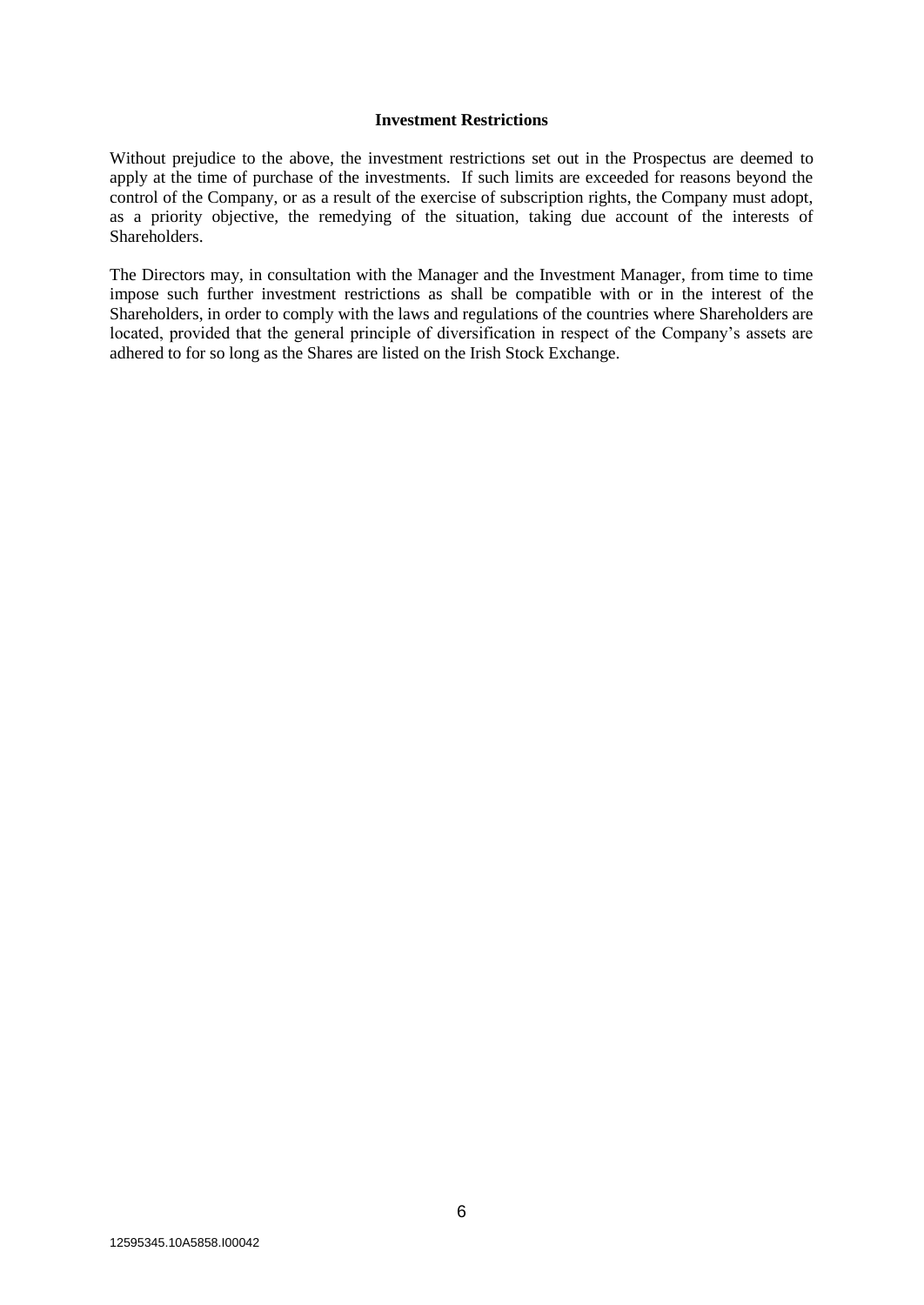#### **Investment Restrictions**

Without prejudice to the above, the investment restrictions set out in the Prospectus are deemed to apply at the time of purchase of the investments. If such limits are exceeded for reasons beyond the control of the Company, or as a result of the exercise of subscription rights, the Company must adopt, as a priority objective, the remedying of the situation, taking due account of the interests of Shareholders.

The Directors may, in consultation with the Manager and the Investment Manager, from time to time impose such further investment restrictions as shall be compatible with or in the interest of the Shareholders, in order to comply with the laws and regulations of the countries where Shareholders are located, provided that the general principle of diversification in respect of the Company's assets are adhered to for so long as the Shares are listed on the Irish Stock Exchange.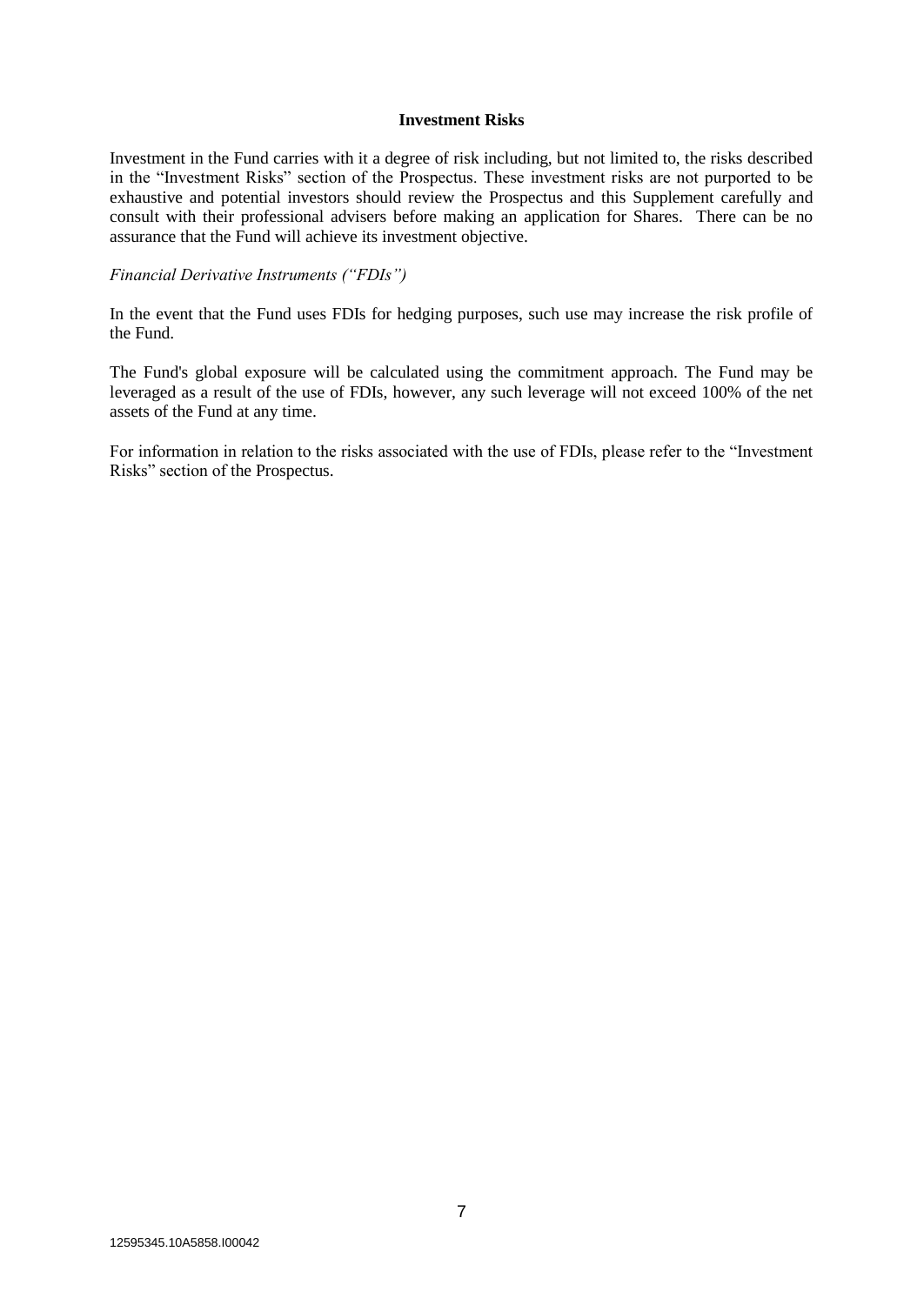#### **Investment Risks**

Investment in the Fund carries with it a degree of risk including, but not limited to, the risks described in the "Investment Risks" section of the Prospectus. These investment risks are not purported to be exhaustive and potential investors should review the Prospectus and this Supplement carefully and consult with their professional advisers before making an application for Shares. There can be no assurance that the Fund will achieve its investment objective.

#### *Financial Derivative Instruments ("FDIs")*

In the event that the Fund uses FDIs for hedging purposes, such use may increase the risk profile of the Fund.

The Fund's global exposure will be calculated using the commitment approach. The Fund may be leveraged as a result of the use of FDIs, however, any such leverage will not exceed 100% of the net assets of the Fund at any time.

For information in relation to the risks associated with the use of FDIs, please refer to the "Investment Risks" section of the Prospectus.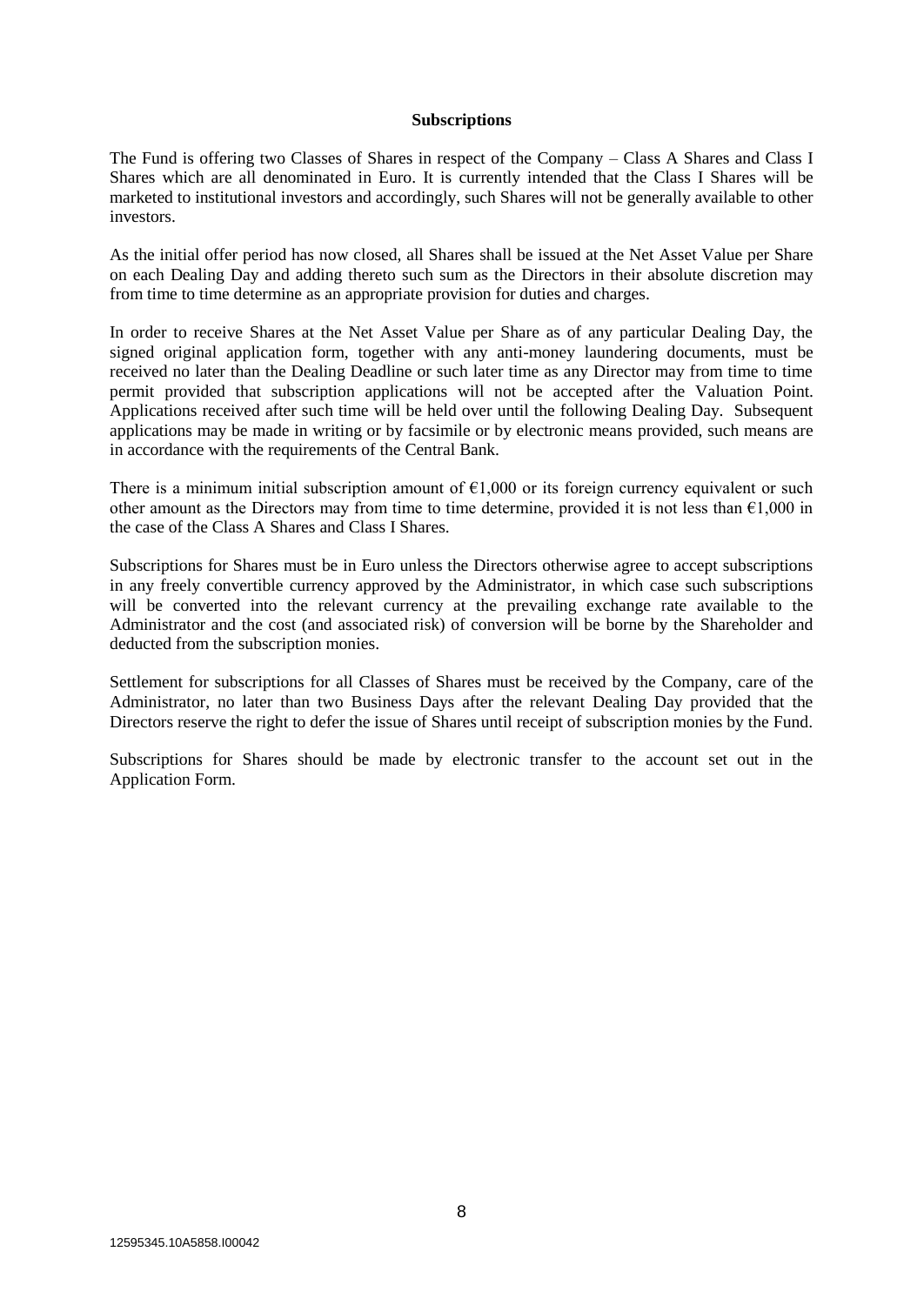#### **Subscriptions**

The Fund is offering two Classes of Shares in respect of the Company – Class A Shares and Class I Shares which are all denominated in Euro. It is currently intended that the Class I Shares will be marketed to institutional investors and accordingly, such Shares will not be generally available to other investors.

As the initial offer period has now closed, all Shares shall be issued at the Net Asset Value per Share on each Dealing Day and adding thereto such sum as the Directors in their absolute discretion may from time to time determine as an appropriate provision for duties and charges.

In order to receive Shares at the Net Asset Value per Share as of any particular Dealing Day, the signed original application form, together with any anti-money laundering documents, must be received no later than the Dealing Deadline or such later time as any Director may from time to time permit provided that subscription applications will not be accepted after the Valuation Point. Applications received after such time will be held over until the following Dealing Day. Subsequent applications may be made in writing or by facsimile or by electronic means provided, such means are in accordance with the requirements of the Central Bank.

There is a minimum initial subscription amount of  $\epsilon$ 1,000 or its foreign currency equivalent or such other amount as the Directors may from time to time determine, provided it is not less than  $\epsilon$ 1,000 in the case of the Class A Shares and Class I Shares.

Subscriptions for Shares must be in Euro unless the Directors otherwise agree to accept subscriptions in any freely convertible currency approved by the Administrator, in which case such subscriptions will be converted into the relevant currency at the prevailing exchange rate available to the Administrator and the cost (and associated risk) of conversion will be borne by the Shareholder and deducted from the subscription monies.

Settlement for subscriptions for all Classes of Shares must be received by the Company, care of the Administrator, no later than two Business Days after the relevant Dealing Day provided that the Directors reserve the right to defer the issue of Shares until receipt of subscription monies by the Fund.

Subscriptions for Shares should be made by electronic transfer to the account set out in the Application Form.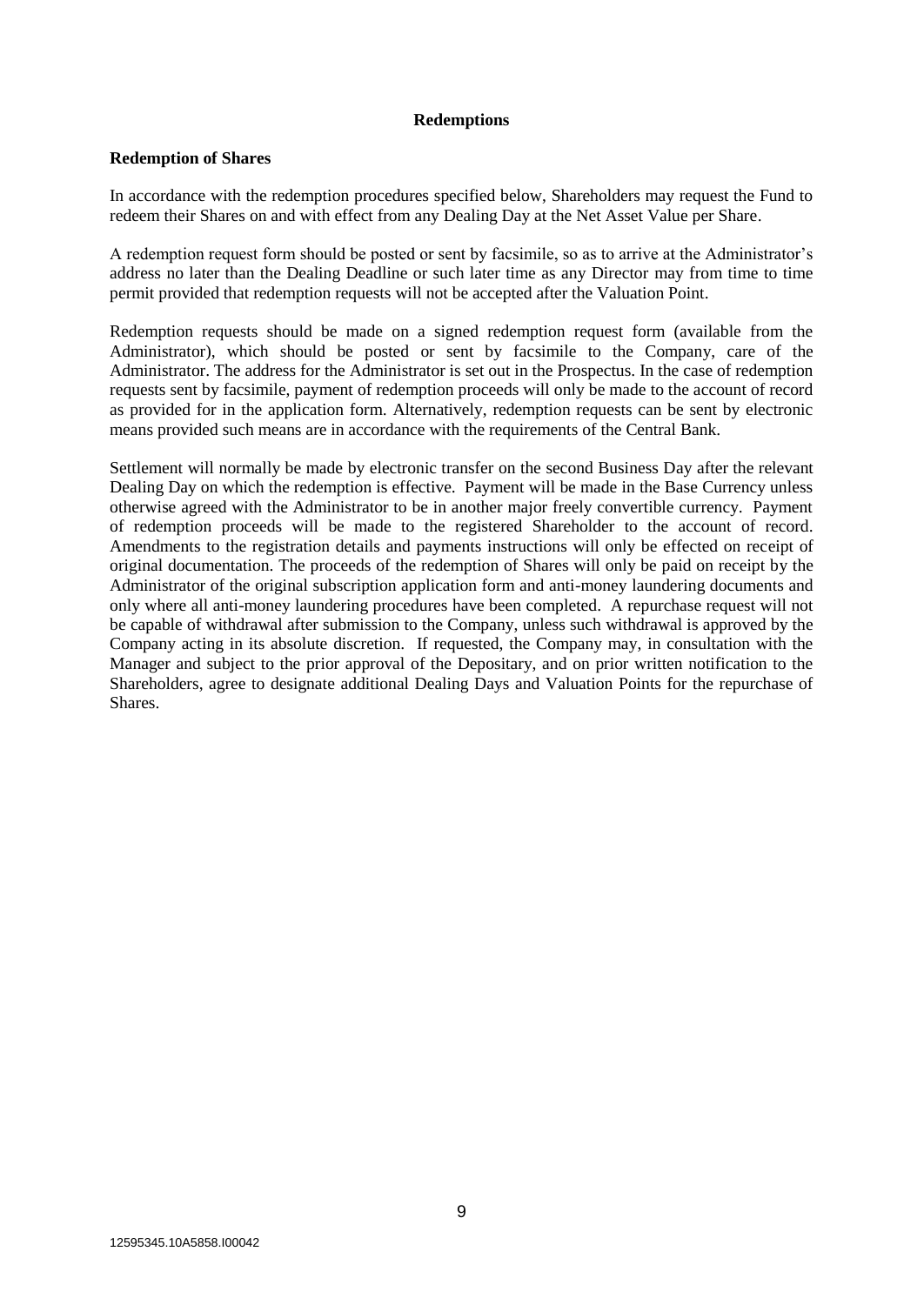#### **Redemptions**

#### **Redemption of Shares**

In accordance with the redemption procedures specified below, Shareholders may request the Fund to redeem their Shares on and with effect from any Dealing Day at the Net Asset Value per Share.

A redemption request form should be posted or sent by facsimile, so as to arrive at the Administrator's address no later than the Dealing Deadline or such later time as any Director may from time to time permit provided that redemption requests will not be accepted after the Valuation Point.

Redemption requests should be made on a signed redemption request form (available from the Administrator), which should be posted or sent by facsimile to the Company, care of the Administrator. The address for the Administrator is set out in the Prospectus. In the case of redemption requests sent by facsimile, payment of redemption proceeds will only be made to the account of record as provided for in the application form. Alternatively, redemption requests can be sent by electronic means provided such means are in accordance with the requirements of the Central Bank.

Settlement will normally be made by electronic transfer on the second Business Day after the relevant Dealing Day on which the redemption is effective. Payment will be made in the Base Currency unless otherwise agreed with the Administrator to be in another major freely convertible currency. Payment of redemption proceeds will be made to the registered Shareholder to the account of record. Amendments to the registration details and payments instructions will only be effected on receipt of original documentation. The proceeds of the redemption of Shares will only be paid on receipt by the Administrator of the original subscription application form and anti-money laundering documents and only where all anti-money laundering procedures have been completed. A repurchase request will not be capable of withdrawal after submission to the Company, unless such withdrawal is approved by the Company acting in its absolute discretion. If requested, the Company may, in consultation with the Manager and subject to the prior approval of the Depositary, and on prior written notification to the Shareholders, agree to designate additional Dealing Days and Valuation Points for the repurchase of Shares.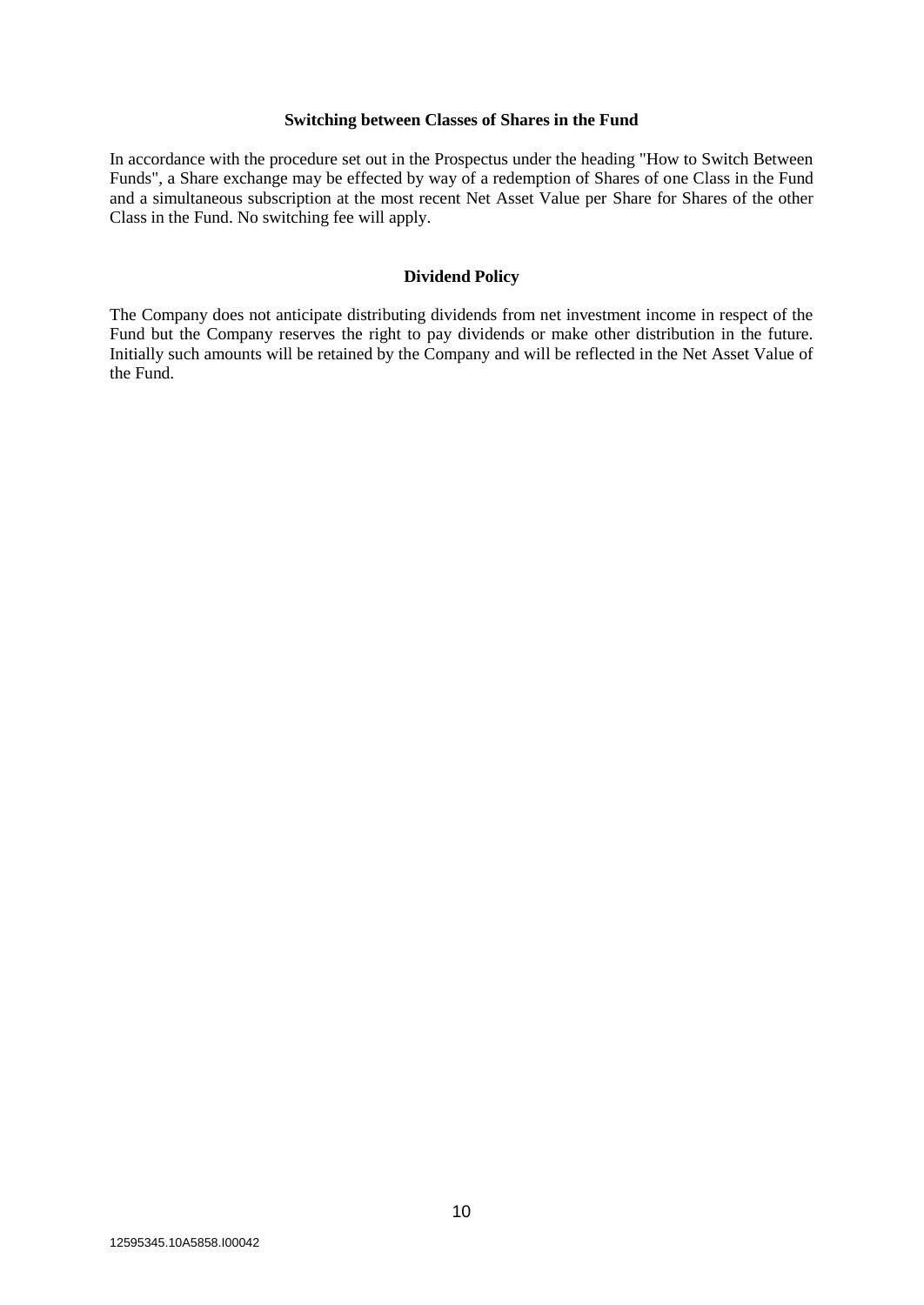#### **Switching between Classes of Shares in the Fund**

In accordance with the procedure set out in the Prospectus under the heading "How to Switch Between Funds", a Share exchange may be effected by way of a redemption of Shares of one Class in the Fund and a simultaneous subscription at the most recent Net Asset Value per Share for Shares of the other Class in the Fund. No switching fee will apply.

#### **Dividend Policy**

The Company does not anticipate distributing dividends from net investment income in respect of the Fund but the Company reserves the right to pay dividends or make other distribution in the future. Initially such amounts will be retained by the Company and will be reflected in the Net Asset Value of the Fund.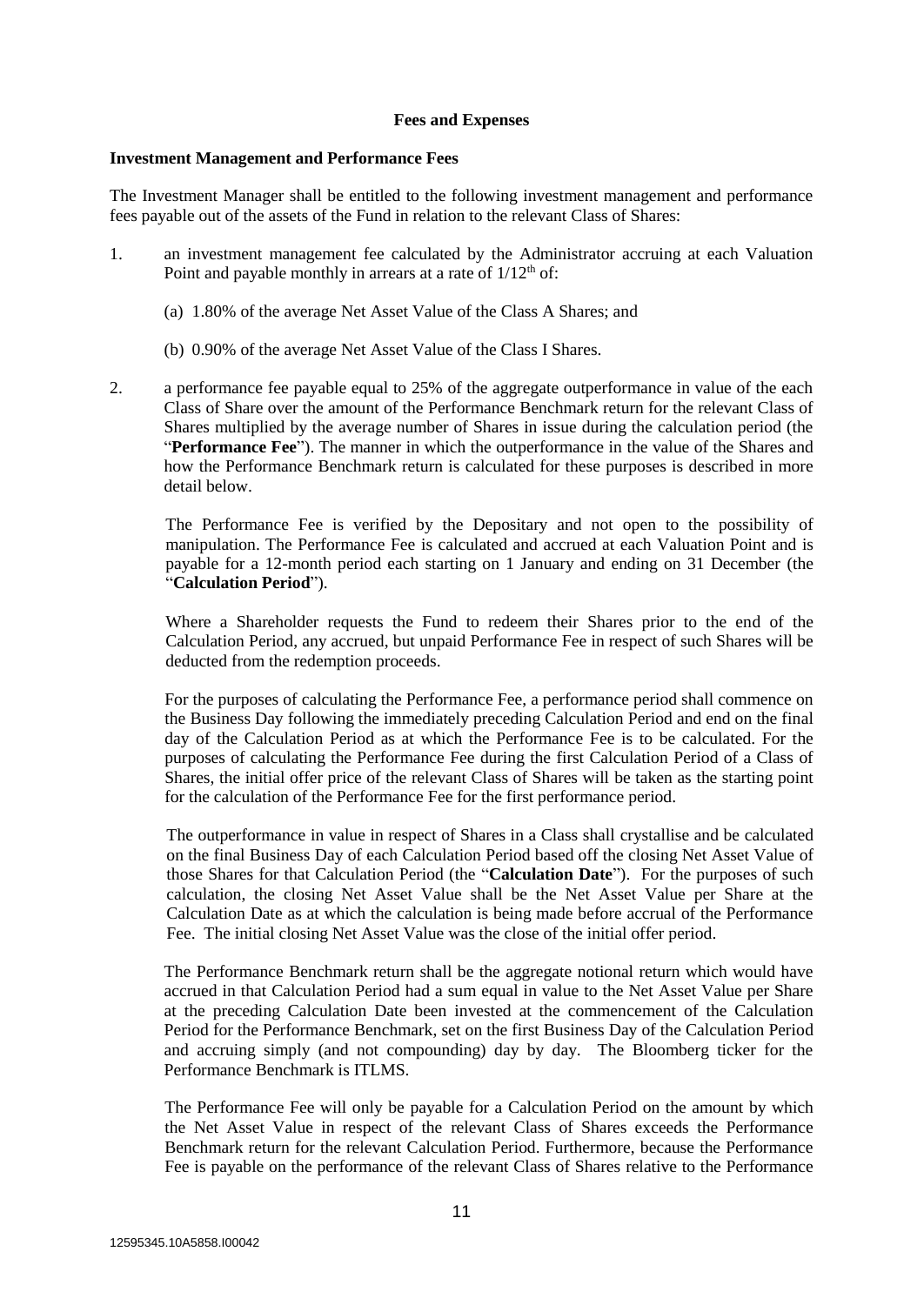#### **Fees and Expenses**

#### **Investment Management and Performance Fees**

The Investment Manager shall be entitled to the following investment management and performance fees payable out of the assets of the Fund in relation to the relevant Class of Shares:

- 1. an investment management fee calculated by the Administrator accruing at each Valuation Point and payable monthly in arrears at a rate of  $1/12<sup>th</sup>$  of:
	- (a) 1.80% of the average Net Asset Value of the Class A Shares; and
	- (b) 0.90% of the average Net Asset Value of the Class I Shares.
- 2. a performance fee payable equal to 25% of the aggregate outperformance in value of the each Class of Share over the amount of the Performance Benchmark return for the relevant Class of Shares multiplied by the average number of Shares in issue during the calculation period (the "**Performance Fee**"). The manner in which the outperformance in the value of the Shares and how the Performance Benchmark return is calculated for these purposes is described in more detail below.

The Performance Fee is verified by the Depositary and not open to the possibility of manipulation. The Performance Fee is calculated and accrued at each Valuation Point and is payable for a 12-month period each starting on 1 January and ending on 31 December (the "**Calculation Period**").

Where a Shareholder requests the Fund to redeem their Shares prior to the end of the Calculation Period, any accrued, but unpaid Performance Fee in respect of such Shares will be deducted from the redemption proceeds.

For the purposes of calculating the Performance Fee, a performance period shall commence on the Business Day following the immediately preceding Calculation Period and end on the final day of the Calculation Period as at which the Performance Fee is to be calculated. For the purposes of calculating the Performance Fee during the first Calculation Period of a Class of Shares, the initial offer price of the relevant Class of Shares will be taken as the starting point for the calculation of the Performance Fee for the first performance period.

The outperformance in value in respect of Shares in a Class shall crystallise and be calculated on the final Business Day of each Calculation Period based off the closing Net Asset Value of those Shares for that Calculation Period (the "**Calculation Date**"). For the purposes of such calculation, the closing Net Asset Value shall be the Net Asset Value per Share at the Calculation Date as at which the calculation is being made before accrual of the Performance Fee. The initial closing Net Asset Value was the close of the initial offer period.

The Performance Benchmark return shall be the aggregate notional return which would have accrued in that Calculation Period had a sum equal in value to the Net Asset Value per Share at the preceding Calculation Date been invested at the commencement of the Calculation Period for the Performance Benchmark, set on the first Business Day of the Calculation Period and accruing simply (and not compounding) day by day. The Bloomberg ticker for the Performance Benchmark is ITLMS.

The Performance Fee will only be payable for a Calculation Period on the amount by which the Net Asset Value in respect of the relevant Class of Shares exceeds the Performance Benchmark return for the relevant Calculation Period. Furthermore, because the Performance Fee is payable on the performance of the relevant Class of Shares relative to the Performance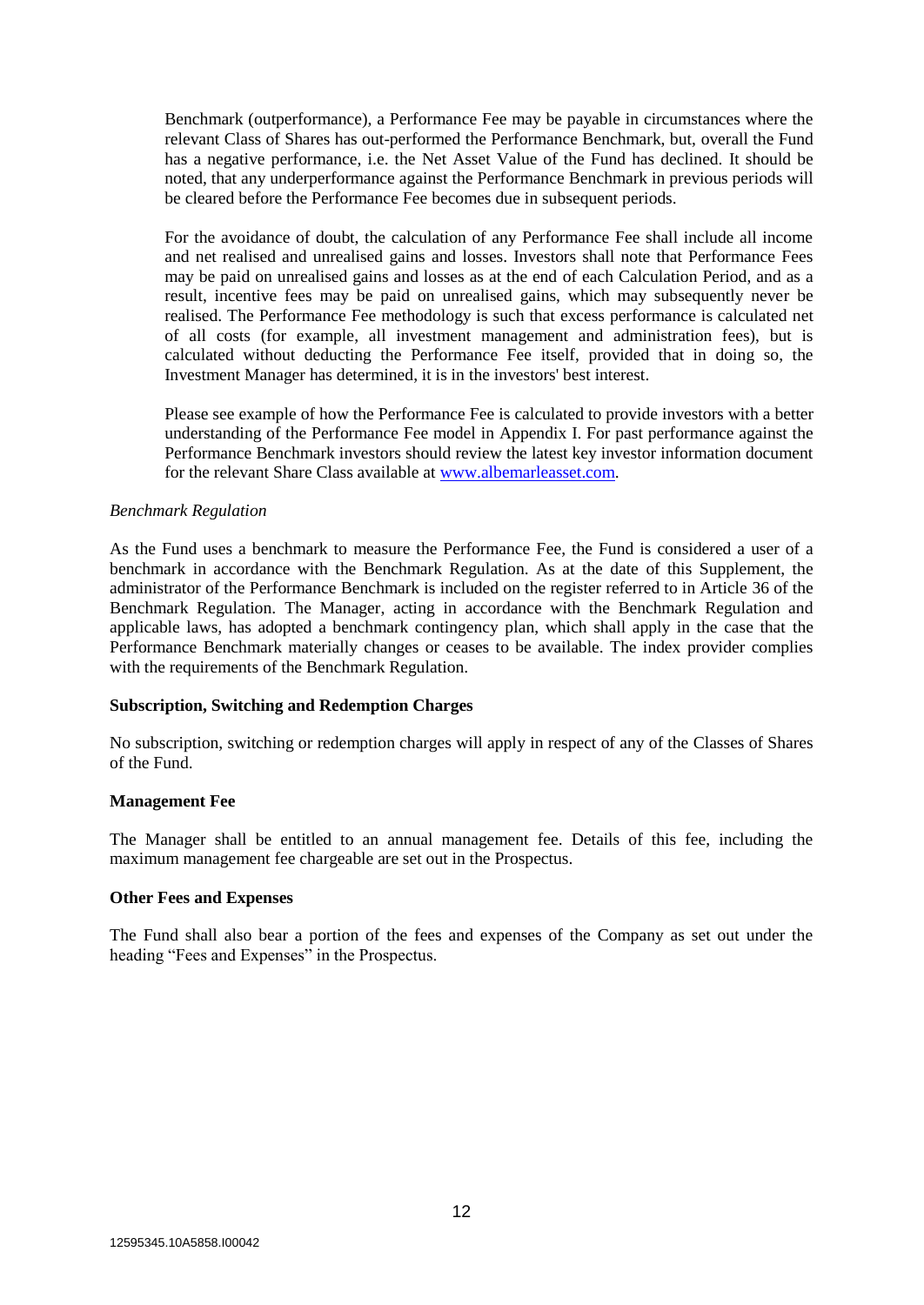Benchmark (outperformance), a Performance Fee may be payable in circumstances where the relevant Class of Shares has out-performed the Performance Benchmark, but, overall the Fund has a negative performance, i.e. the Net Asset Value of the Fund has declined. It should be noted, that any underperformance against the Performance Benchmark in previous periods will be cleared before the Performance Fee becomes due in subsequent periods.

For the avoidance of doubt, the calculation of any Performance Fee shall include all income and net realised and unrealised gains and losses. Investors shall note that Performance Fees may be paid on unrealised gains and losses as at the end of each Calculation Period, and as a result, incentive fees may be paid on unrealised gains, which may subsequently never be realised. The Performance Fee methodology is such that excess performance is calculated net of all costs (for example, all investment management and administration fees), but is calculated without deducting the Performance Fee itself, provided that in doing so, the Investment Manager has determined, it is in the investors' best interest.

Please see example of how the Performance Fee is calculated to provide investors with a better understanding of the Performance Fee model in Appendix I. For past performance against the Performance Benchmark investors should review the latest key investor information document for the relevant Share Class available at [www.albemarleasset.com.](http://www.albemarleasset.com/)

#### *Benchmark Regulation*

As the Fund uses a benchmark to measure the Performance Fee, the Fund is considered a user of a benchmark in accordance with the Benchmark Regulation. As at the date of this Supplement, the administrator of the Performance Benchmark is included on the register referred to in Article 36 of the Benchmark Regulation. The Manager, acting in accordance with the Benchmark Regulation and applicable laws, has adopted a benchmark contingency plan, which shall apply in the case that the Performance Benchmark materially changes or ceases to be available. The index provider complies with the requirements of the Benchmark Regulation.

#### **Subscription, Switching and Redemption Charges**

No subscription, switching or redemption charges will apply in respect of any of the Classes of Shares of the Fund.

#### **Management Fee**

The Manager shall be entitled to an annual management fee. Details of this fee, including the maximum management fee chargeable are set out in the Prospectus.

#### **Other Fees and Expenses**

The Fund shall also bear a portion of the fees and expenses of the Company as set out under the heading "Fees and Expenses" in the Prospectus.